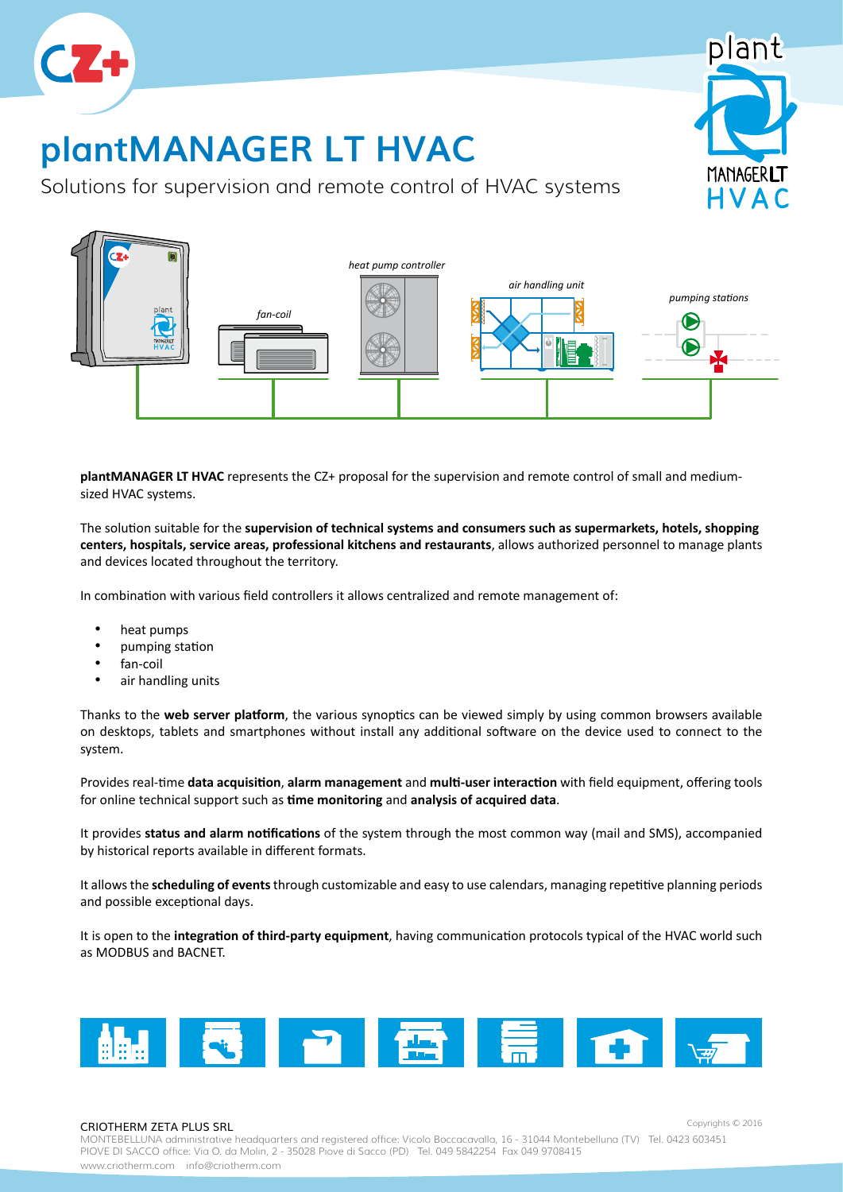

# **plantMANAGER LT HVAC**

Solutions for supervision and remote control of HVAC systems



**plantMANAGER LT HVAC** represents the CZ+ proposal for the supervision and remote control of small and mediumsized HVAC systems.

The solution suitable for the **supervision of technical systems and consumers such as supermarkets, hotels, shopping centers, hospitals, service areas, professional kitchens and restaurants**, allows authorized personnel to manage plants and devices located throughout the territory.

In combination with various field controllers it allows centralized and remote management of:

- • heat pumps
- • pumping station
- fan-coil
- air handling units

Thanks to the **web server platform**, the various synoptics can be viewed simply by using common browsers available on desktops, tablets and smartphones without install any additional software on the device used to connect to the system.

Provides real-time **data acquisition**, **alarm management** and **multi-user interaction** with field equipment, offering tools for online technical support such as **time monitoring** and **analysis of acquired data**.

It provides **status and alarm notifications** of the system through the most common way (mail and SMS), accompanied by historical reports available in different formats.

It allows the **scheduling of events** through customizable and easy to use calendars, managing repetitive planning periods and possible exceptional days.

It is open to the **integration of third-party equipment**, having communication protocols typical of the HVAC world such as MODBUS and BACNET.



### CRIOTHERM ZETA PLUS SRL

Copyrights © 2016

lant

**MANAGERLT** HVAC

MONTEBELLUNA administrative headquarters and registered office: Vicolo Boccacavalla, 16 - 31044 Montebelluna (TV) Tel. 0423 603451 PIOVE DI SACCO office: Via O. da Molin, 2 - 35028 Piove di Sacco (PD) Tel. 049 5842254 Fax 049 9708415 www.criotherm.com info@criotherm.com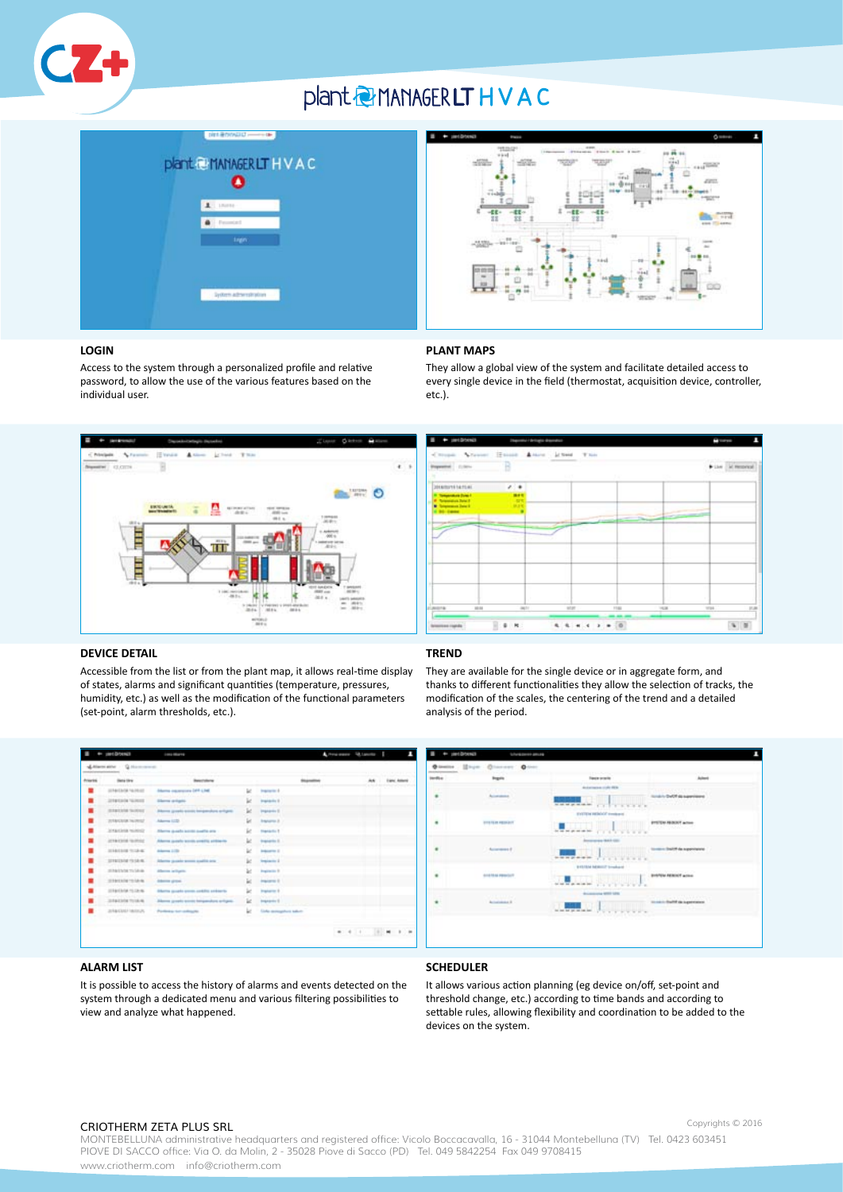

## plant @ MANAGER LT H V A C





They allow a global view of the system and facilitate detailed access to every single device in the field (thermostat, acquisition device, controller,

### **LOGIN**

Access to the system through a personalized profile and relative password, to allow the use of the various features based on the individual user.



## **Li** trees  $\Delta$  :  $T_{\rm H}$  $\blacktriangleright$  150  $\frac{1}{2}$  (Figs.  $4.4 + 1.1 + 1.0$  $\overline{\phantom{a}}$  $-6$

#### **DEVICE DETAIL**

Accessible from the list or from the plant map, it allows real-time display of states, alarms and significant quantities (temperature, pressures, humidity, etc.) as well as the modification of the functional parameters (set-point, alarm thresholds, etc.).

### **TREND**

**PLANT MAPS**

etc.).

They are available for the single device or in aggregate form, and thanks to different functionalities they allow the selection of tracks, the modification of the scales, the centering of the trend and a detailed analysis of the period.





### **ALARM LIST**

It is possible to access the history of alarms and events detected on the system through a dedicated menu and various filtering possibilities to view and analyze what happened.

### **SCHEDULER**

It allows various action planning (eg device on/off, set-point and threshold change, etc.) according to time bands and according to settable rules, allowing flexibility and coordination to be added to the devices on the system.

#### CRIOTHERM ZETA PLUS SRL

Copyrights © 2016

MONTEBELLUNA administrative headquarters and registered office: Vicolo Boccacavalla, 16 - 31044 Montebelluna (TV) Tel. 0423 603451 PIOVE DI SACCO office: Via O. da Molin, 2 - 35028 Piove di Sacco (PD) Tel. 049 5842254 Fax 049 9708415 www.criotherm.com info@criotherm.com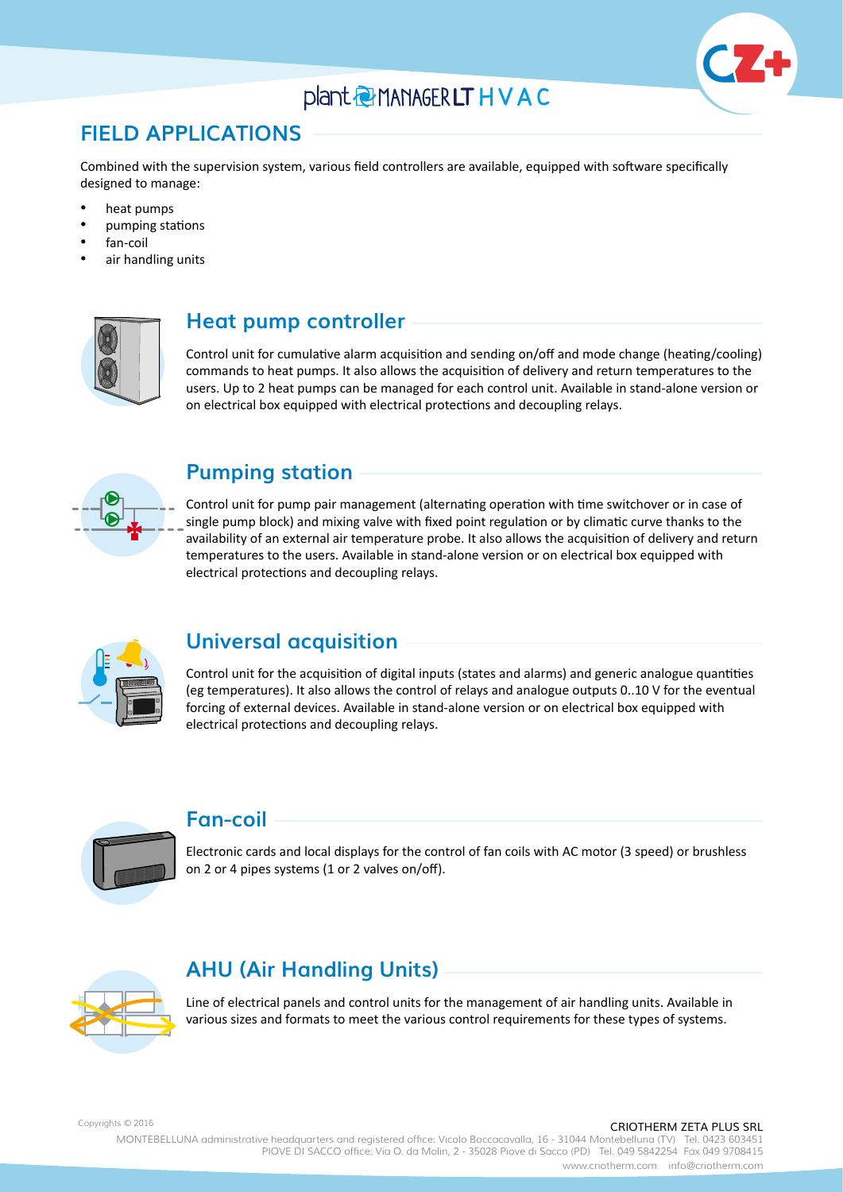## plant @ MANAGER LT H V A C



## **FIELD APPLICATIONS**

Combined with the supervision system, various field controllers are available, equipped with software specifically designed to manage:

- heat pumps
- pumping stations
- fan-coil
- air handling units



### **Heat pump controller**

Control unit for cumulative alarm acquisition and sending on/off and mode change (heating/cooling) commands to heat pumps. It also allows the acquisition of delivery and return temperatures to the users. Up to 2 heat pumps can be managed for each control unit. Available in stand-alone version or on electrical box equipped with electrical protections and decoupling relays.



### **Pumping station**

Control unit for pump pair management (alternating operation with time switchover or in case of single pump block) and mixing valve with fixed point regulation or by climatic curve thanks to the availability of an external air temperature probe. It also allows the acquisition of delivery and return temperatures to the users. Available in stand-alone version or on electrical box equipped with electrical protections and decoupling relays.



### **Universal acquisition**

Control unit for the acquisition of digital inputs (states and alarms) and generic analogue quantities (eg temperatures). It also allows the control of relays and analogue outputs 0..10 V for the eventual forcing of external devices. Available in stand-alone version or on electrical box equipped with electrical protections and decoupling relays.



### **Fan-coil**

Electronic cards and local displays for the control of fan coils with AC motor (3 speed) or brushless on 2 or 4 pipes systems (1 or 2 valves on/off).



## **AHU (Air Handling Units)**

Line of electrical panels and control units for the management of air handling units. Available in various sizes and formats to meet the various control requirements for these types of systems.